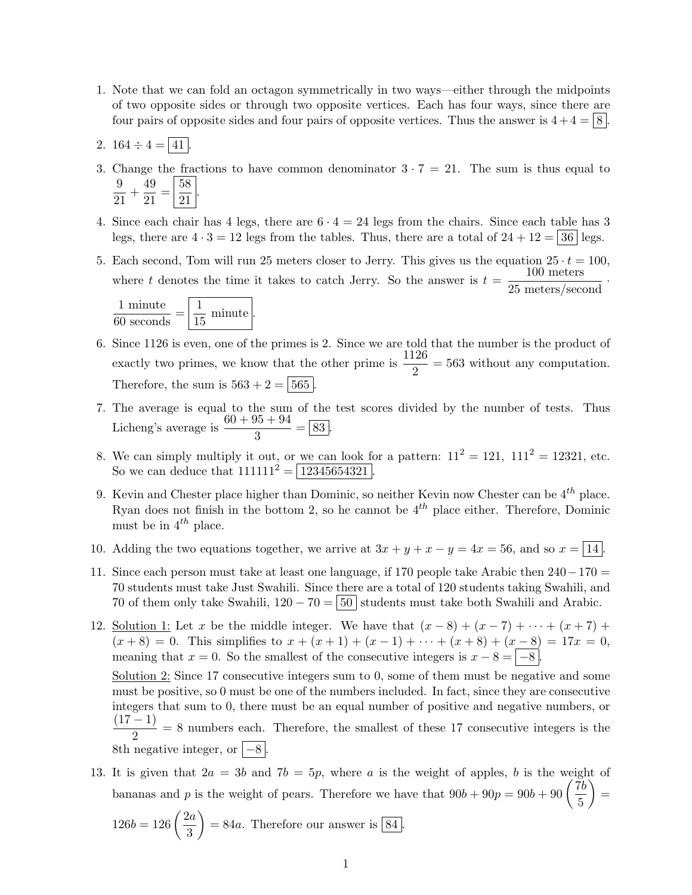- 1. Note that we can fold an octagon symmetrically in two ways—either through the midpoints of two opposite sides or through two opposite vertices. Each has four ways, since there are four pairs of opposite sides and four pairs of opposite vertices. Thus the answer is  $4+4=8$ .
- 2.  $164 \div 4 = |41|$ .
- 3. Change the fractions to have common denominator  $3 \cdot 7 = 21$ . The sum is thus equal to 9  $\frac{9}{21} + \frac{49}{21}$  $rac{49}{21} = \frac{58}{21}$ 21 .
- 4. Since each chair has 4 legs, there are  $6 \cdot 4 = 24$  legs from the chairs. Since each table has 3 legs, there are  $4 \cdot 3 = 12$  legs from the tables. Thus, there are a total of  $24 + 12 = 36$  legs.
- 5. Each second, Tom will run 25 meters closer to Jerry. This gives us the equation  $25 \cdot t = 100$ , where t denotes the time it takes to catch Jerry. So the answer is  $t = \frac{100 \text{ meters}}{25 \text{ meters/second}}$ .

$$
\frac{1 \text{ minute}}{60 \text{ seconds}} = \boxed{\frac{1}{15} \text{ minute}}.
$$

- 6. Since 1126 is even, one of the primes is 2. Since we are told that the number is the product of exactly two primes, we know that the other prime is  $\frac{1126}{2} = 563$  without any computation. Therefore, the sum is  $563 + 2 = 565$ .
- 7. The average is equal to the sum of the test scores divided by the number of tests. Thus Licheng's average is  $\frac{60 + 95 + 94}{3} = \boxed{83}$ .
- 8. We can simply multiply it out, or <u>we can look f</u>or a pattern:  $11^2 = 121$ ,  $111^2 = 12321$ , etc. So we can deduce that  $111111^2 = 12345654321$ .
- 9. Kevin and Chester place higher than Dominic, so neither Kevin now Chester can be  $4^{th}$  place. Ryan does not finish in the bottom 2, so he cannot be  $4^{th}$  place either. Therefore, Dominic must be in  $4^{th}$  place.
- 10. Adding the two equations together, we arrive at  $3x + y + x y = 4x = 56$ , and so  $x = \boxed{14}$ .
- 11. Since each person must take at least one language, if 170 people take Arabic then 240−170 = 70 students must take Just Swahili. Since there are a total of 120 students taking Swahili, and 70 of them only take Swahili,  $120 - 70 = |50|$  students must take both Swahili and Arabic.
- 12. Solution 1: Let x be the middle integer. We have that  $(x-8) + (x-7) + \cdots + (x+7) +$  $(x+8) = 0$ . This simplifies to  $x + (x+1) + (x-1) + \cdots + (x+8) + (x-8) = 17x = 0$ , meaning that  $x = 0$ . So the smallest of the consecutive integers is  $x - 8 = |-8|$ . Solution 2: Since 17 consecutive integers sum to 0, some of them must be negative and some must be positive, so 0 must be one of the numbers included. In fact, since they are consecutive integers that sum to 0, there must be an equal number of positive and negative numbers, or

 $(17 - 1)$  $\frac{1}{2}$  = 8 numbers each. Therefore, the smallest of these 17 consecutive integers is the 8th negative integer, or  $\vert -8 \vert$ .

13. It is given that  $2a = 3b$  and  $7b = 5p$ , where a is the weight of apples, b is the weight of bananas and p is the weight of pears. Therefore we have that  $90b + 90p = 90b + 90 \left( \frac{7b}{5} \right)$ 5  $=$ 

$$
126b = 126\left(\frac{2a}{3}\right) = 84a.
$$
 Therefore our answer is 84.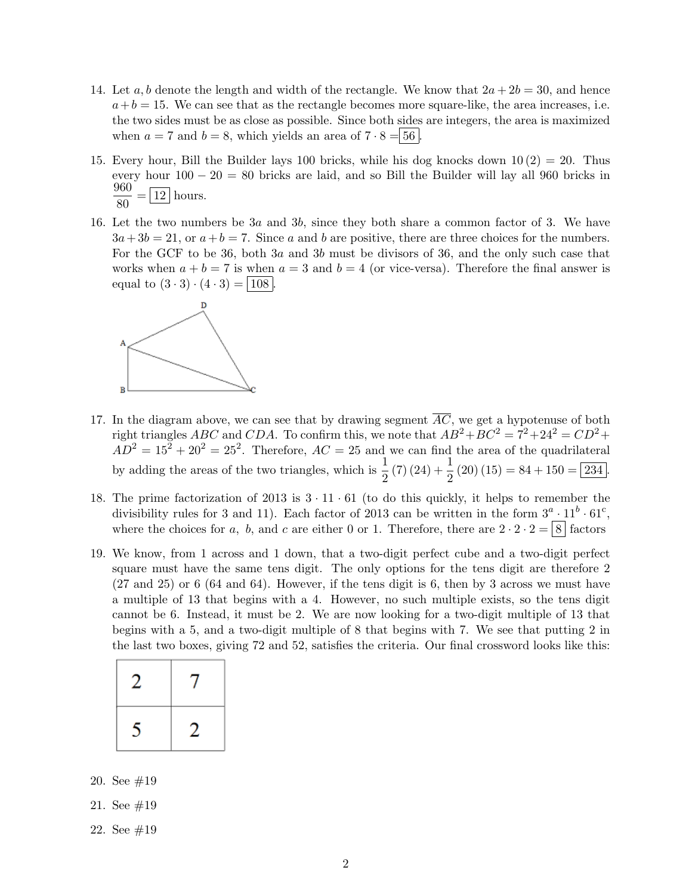- 14. Let a, b denote the length and width of the rectangle. We know that  $2a + 2b = 30$ , and hence  $a + b = 15$ . We can see that as the rectangle becomes more square-like, the area increases, i.e. the two sides must be as close as possible. Since both sides are integers, the area is maximized when  $a = 7$  and  $b = 8$ , which yields an area of  $7 \cdot 8 = 56$ .
- 15. Every hour, Bill the Builder lays 100 bricks, while his dog knocks down  $10(2) = 20$ . Thus every hour  $100 - 20 = 80$  bricks are laid, and so Bill the Builder will lay all 960 bricks in 960  $\frac{380}{80} = 12$  hours.
- 16. Let the two numbers be 3a and 3b, since they both share a common factor of 3. We have  $3a+3b=21$ , or  $a+b=7$ . Since a and b are positive, there are three choices for the numbers. For the GCF to be 36, both 3a and 3b must be divisors of 36, and the only such case that works when  $a + b = 7$  is when  $a = 3$  and  $b = 4$  (or vice-versa). Therefore the final answer is equal to  $(3 \cdot 3) \cdot (4 \cdot 3) = | 108 |$ .



- 17. In the diagram above, we can see that by drawing segment  $\overline{AC}$ , we get a hypotenuse of both right triangles ABC and CDA. To confirm this, we note that  $AB^2 + BC^2 = 7^2 + 24^2 = CD^2 +$  $AD^2 = 15^2 + 20^2 = 25^2$ . Therefore,  $AC = 25$  and we can find the area of the quadrilateral by adding the areas of the two triangles, which is  $\frac{1}{2}(7)(24) + \frac{1}{2}(20)(15) = 84 + 150 = 234$ .
- 18. The prime factorization of 2013 is  $3 \cdot 11 \cdot 61$  (to do this quickly, it helps to remember the divisibility rules for 3 and 11). Each factor of 2013 can be written in the form  $3^a \cdot 11^b \cdot 61^c$ , where the choices for a, b, and c are either 0 or 1. Therefore, there are  $2 \cdot 2 \cdot 2 = 8$  factors
- 19. We know, from 1 across and 1 down, that a two-digit perfect cube and a two-digit perfect square must have the same tens digit. The only options for the tens digit are therefore 2 (27 and 25) or 6 (64 and 64). However, if the tens digit is 6, then by 3 across we must have a multiple of 13 that begins with a 4. However, no such multiple exists, so the tens digit cannot be 6. Instead, it must be 2. We are now looking for a two-digit multiple of 13 that begins with a 5, and a two-digit multiple of 8 that begins with 7. We see that putting 2 in the last two boxes, giving 72 and 52, satisfies the criteria. Our final crossword looks like this:

| , |    |
|---|----|
| ↖ | ٠, |

20. See #19

- 21. See #19
- 22. See #19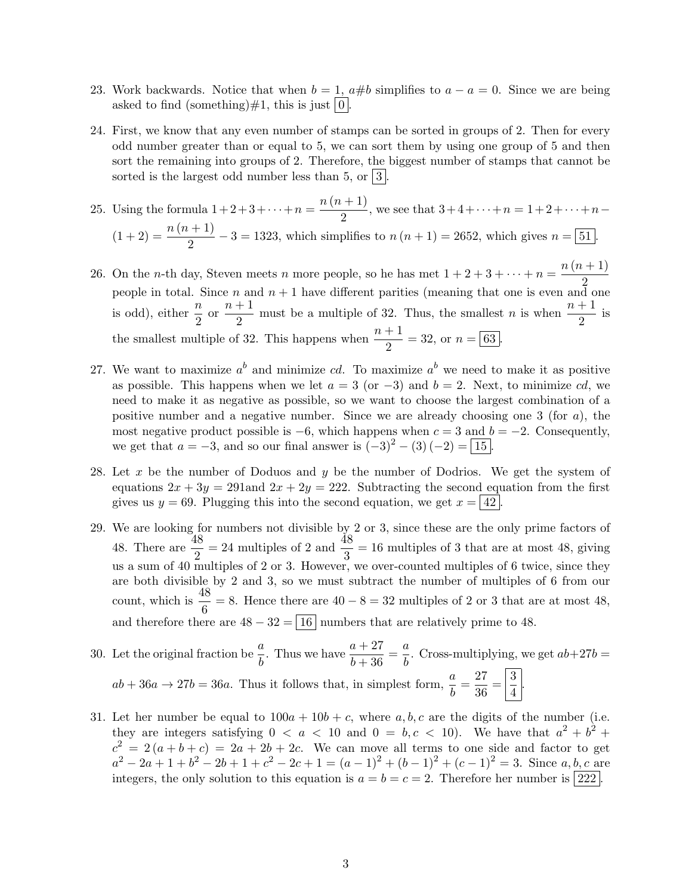- 23. Work backwards. Notice that when  $b = 1$ ,  $a \# b$  simplifies to  $a a = 0$ . Since we are being asked to find (something) $\#1$ , this is just  $|0|$
- 24. First, we know that any even number of stamps can be sorted in groups of 2. Then for every odd number greater than or equal to 5, we can sort them by using one group of 5 and then sort the remaining into groups of 2. Therefore, the biggest number of stamps that cannot be sorted is the largest odd number less than 5, or  $|3|$ .

25. Using the formula  $1 + 2 + 3 + \cdots + n = \frac{n(n+1)}{2}$  $\frac{n+1}{2}$ , we see that  $3+4+\cdots+n=1+2+\cdots+n (1+2) = \frac{n(n+1)}{2} - 3 = 1323$ , which simplifies to  $n(n+1) = 2652$ , which gives  $n = 51$ .

- 26. On the *n*-th day, Steven meets *n* more people, so he has met  $1 + 2 + 3 + \cdots + n = \frac{n(n+1)}{2}$ 2 people in total. Since n and  $n + 1$  have different parities (meaning that one is even and one is odd), either  $\frac{n}{2}$  or  $\frac{n+1}{2}$  $\frac{n+1}{2}$  must be a multiple of 32. Thus, the smallest *n* is when  $\frac{n+1}{2}$  is the smallest multiple of 32. This happens when  $\frac{n+1}{2} = 32$ , or  $n = \boxed{63}$ .
- 27. We want to maximize  $a^b$  and minimize cd. To maximize  $a^b$  we need to make it as positive as possible. This happens when we let  $a = 3$  (or  $-3$ ) and  $b = 2$ . Next, to minimize cd, we need to make it as negative as possible, so we want to choose the largest combination of a positive number and a negative number. Since we are already choosing one 3 (for  $a$ ), the most negative product possible is  $-6$ , which happens when  $c = 3$  and  $b = -2$ . Consequently, we get that  $a = -3$ , and so our final answer is  $(-3)^2 - (3)(-2) = 15$ .
- 28. Let x be the number of Doduos and y be the number of Dodrios. We get the system of equations  $2x + 3y = 291$  and  $2x + 2y = 222$ . Subtracting the second equation from the first gives us  $y = 69$ . Plugging this into the second equation, we get  $x = 42$ .
- 29. We are looking for numbers not divisible by 2 or 3, since these are the only prime factors of 48. There are  $\frac{48}{2} = 24$  multiples of 2 and  $\frac{48}{3} = 16$  multiples of 3 that are at most 48, giving us a sum of 40 multiples of 2 or 3. However, we over-counted multiples of 6 twice, since they are both divisible by 2 and 3, so we must subtract the number of multiples of 6 from our count, which is  $\frac{48}{6} = 8$ . Hence there are  $40 - 8 = 32$  multiples of 2 or 3 that are at most 48, and therefore there are  $48 - 32 = \boxed{16}$  numbers that are relatively prime to 48.
- 30. Let the original fraction be  $\frac{a}{b}$ . Thus we have  $\frac{a+27}{b+36} = \frac{a}{b}$  $\frac{a}{b}$ . Cross-multiplying, we get  $ab+27b=$  $ab + 36a \rightarrow 27b = 36a$ . Thus it follows that, in simplest form,  $\frac{a}{b} = \frac{27}{36}$  $\frac{27}{36} = \frac{3}{4}$  $\frac{6}{4}$ .
- 31. Let her number be equal to  $100a + 10b + c$ , where a, b, c are the digits of the number (i.e. they are integers satisfying  $0 < a < 10$  and  $0 = b, c < 10$ . We have that  $a^2 + b^2 +$  $c^2 = 2(a+b+c) = 2a+2b+2c$ . We can move all terms to one side and factor to get  $a^2 - 2a + 1 + b^2 - 2b + 1 + c^2 - 2c + 1 = (a - 1)^2 + (b - 1)^2 + (c - 1)^2 = 3$ . Since a, b, c are integers, the only solution to this equation is  $a = b = c = 2$ . Therefore her number is [222].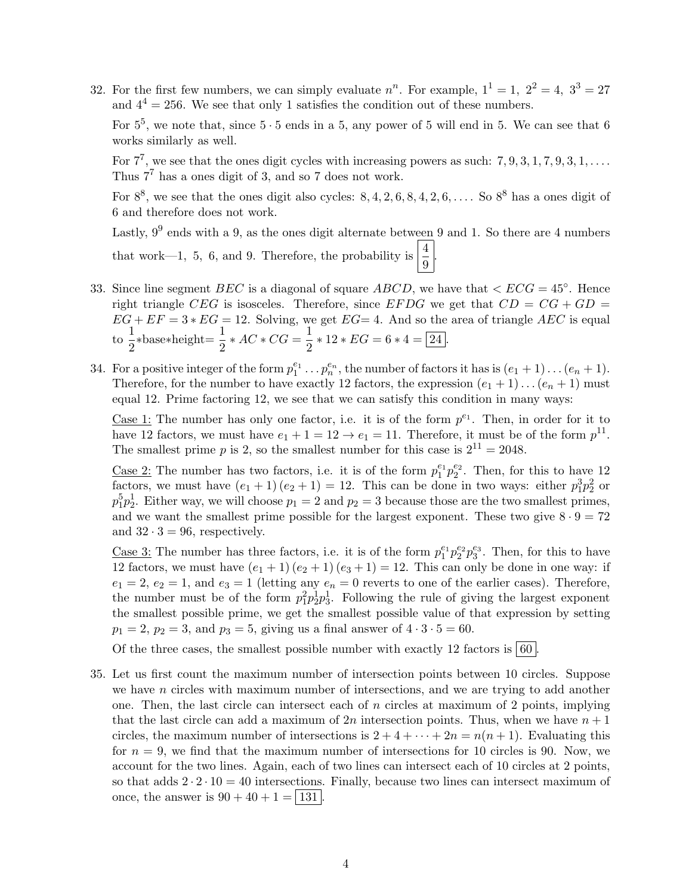32. For the first few numbers, we can simply evaluate  $n^n$ . For example,  $1^1 = 1$ ,  $2^2 = 4$ ,  $3^3 = 27$ and  $4^4 = 256$ . We see that only 1 satisfies the condition out of these numbers.

For  $5^5$ , we note that, since  $5 \cdot 5$  ends in a 5, any power of 5 will end in 5. We can see that 6 works similarly as well.

For  $7^7$ , we see that the ones digit cycles with increasing powers as such:  $7, 9, 3, 1, 7, 9, 3, 1, \ldots$ Thus  $7<sup>7</sup>$  has a ones digit of 3, and so 7 does not work.

For  $8^8$ , we see that the ones digit also cycles:  $8, 4, 2, 6, 8, 4, 2, 6, \ldots$ . So  $8^8$  has a ones digit of 6 and therefore does not work.

Lastly,  $9^9$  ends with a 9, as the ones digit alternate between 9 and 1. So there are 4 numbers that work—1, 5, 6, and 9. Therefore, the probability is  $\left|\frac{4}{9}\right|$ .

- 33. Since line segment BEC is a diagonal of square ABCD, we have that  $\langle ECG = 45^{\circ} \rangle$ . Hence right triangle CEG is isosceles. Therefore, since EFDG we get that  $CD = CG + GD =$  $EG + EF = 3 * EG = 12$ . Solving, we get  $EG = 4$ . And so the area of triangle AEC is equal  $\frac{1}{\infty}$  $\frac{1}{2}$ \*base\*height= $\frac{1}{2}$ \* AC \* CG =  $\frac{1}{2}$  $\frac{1}{2} * 12 * EG = 6 * 4 = 24.$
- 34. For a positive integer of the form  $p_1^{e_1} \tldots p_n^{e_n}$ , the number of factors it has is  $(e_1 + 1) \tldots (e_n + 1)$ . Therefore, for the number to have exactly 12 factors, the expression  $(e_1 + 1) \dots (e_n + 1)$  must equal 12. Prime factoring 12, we see that we can satisfy this condition in many ways:

Case 1: The number has only one factor, i.e. it is of the form  $p^{e_1}$ . Then, in order for it to have 12 factors, we must have  $e_1 + 1 = 12 \rightarrow e_1 = 11$ . Therefore, it must be of the form  $p^{11}$ . The smallest prime p is 2, so the smallest number for this case is  $2^{11} = 2048$ .

<u>Case 2:</u> The number has two factors, i.e. it is of the form  $p_1^{e_1}p_2^{e_2}$ . Then, for this to have 12 factors, we must have  $(e_1 + 1)(e_2 + 1) = 12$ . This can be done in two ways: either  $p_1^3 p_2^2$  or  $p_1^5p_2^1$ . Either way, we will choose  $p_1 = 2$  and  $p_2 = 3$  because those are the two smallest primes, and we want the smallest prime possible for the largest exponent. These two give  $8 \cdot 9 = 72$ and  $32 \cdot 3 = 96$ , respectively.

<u>Case 3:</u> The number has three factors, i.e. it is of the form  $p_1^{e_1}p_2^{e_2}p_3^{e_3}$ . Then, for this to have 12 factors, we must have  $(e_1 + 1)(e_2 + 1)(e_3 + 1) = 12$ . This can only be done in one way: if  $e_1 = 2, e_2 = 1$ , and  $e_3 = 1$  (letting any  $e_n = 0$  reverts to one of the earlier cases). Therefore, the number must be of the form  $p_1^2 p_2^1 p_3^1$ . Following the rule of giving the largest exponent the smallest possible prime, we get the smallest possible value of that expression by setting  $p_1 = 2, p_2 = 3, \text{ and } p_3 = 5, \text{ giving us a final answer of } 4 \cdot 3 \cdot 5 = 60.$ 

Of the three cases, the smallest possible number with exactly 12 factors is  $\boxed{60}$ 

35. Let us first count the maximum number of intersection points between 10 circles. Suppose we have  $n$  circles with maximum number of intersections, and we are trying to add another one. Then, the last circle can intersect each of n circles at maximum of 2 points, implying that the last circle can add a maximum of 2n intersection points. Thus, when we have  $n + 1$ circles, the maximum number of intersections is  $2 + 4 + \cdots + 2n = n(n + 1)$ . Evaluating this for  $n = 9$ , we find that the maximum number of intersections for 10 circles is 90. Now, we account for the two lines. Again, each of two lines can intersect each of 10 circles at 2 points, so that adds  $2 \cdot 2 \cdot 10 = 40$  intersections. Finally, because two lines can intersect maximum of once, the answer is  $90 + 40 + 1 = |131|$ .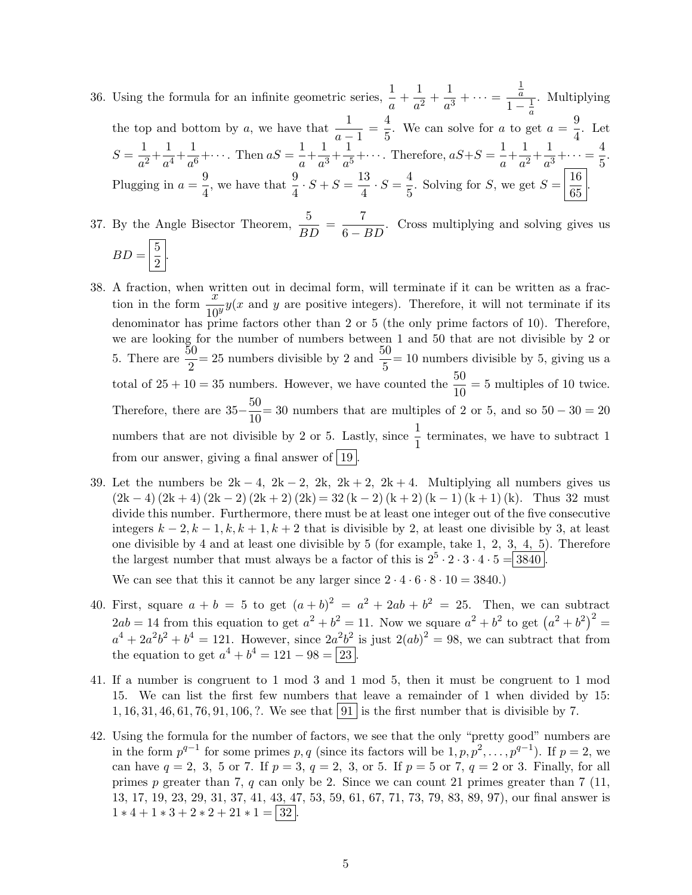- 36. Using the formula for an infinite geometric series,  $\frac{1}{a} + \frac{1}{a^2}$  $\frac{1}{a^2} + \frac{1}{a^3}$  $\frac{1}{a^3} + \cdots =$ 1  $\overline{a}$  $\frac{a}{1-\frac{1}{a}}$ . Multiplying the top and bottom by a, we have that  $\frac{1}{a-1} = \frac{4}{5}$ . We can solve for a to go  $\frac{4}{5}$ . We can solve for a to get  $a = \frac{9}{4}$  $\frac{3}{4}$ . Let  $S=\frac{1}{a}$  $\frac{1}{a^2} + \frac{1}{a^4}$  $\frac{1}{a^4} + \frac{1}{a^6}$  $\frac{1}{a^6} + \cdots$ . Then  $aS = \frac{1}{a}$  $\frac{1}{a} + \frac{1}{a^3}$  $\frac{1}{a^3} + \frac{1}{a^5}$  $\frac{1}{a^5} + \cdots$  Therefore,  $aS + S = \frac{1}{a}$  $\frac{1}{a} + \frac{1}{a^2}$  $\frac{1}{a^2} + \frac{1}{a^3}$  $\frac{1}{a^3} + \cdots = \frac{4}{5}$  $\frac{1}{5}$ . Plugging in  $a = \frac{9}{4}$  $\frac{9}{4}$ , we have that  $\frac{9}{4} \cdot S + S = \frac{13}{4}$  $\frac{13}{4} \cdot S = \frac{4}{5}$  $\frac{4}{5}$ . Solving for S, we get  $S = \frac{16}{65}$  $\frac{18}{65}$ .
- 37. By the Angle Bisector Theorem,  $\frac{5}{BD} = \frac{7}{6-1}$  $\frac{1}{6 - BD}$ . Cross multiplying and solving gives us  $BD = \frac{5}{2}$  $\frac{0}{2}$ .
- 38. A fraction, when written out in decimal form, will terminate if it can be written as a fraction in the form  $\frac{x}{10^y}y(x)$  and y are positive integers). Therefore, it will not terminate if its denominator has prime factors other than 2 or 5 (the only prime factors of 10). Therefore, we are looking for the number of numbers between 1 and 50 that are not divisible by 2 or 5. There are  $\frac{50}{2} = 25$  numbers divisible by 2 and  $\frac{50}{5} = 10$  numbers divisible by 5, giving us a total of  $25 + 10 = 35$  numbers. However, we have counted the  $\frac{50}{10} = 5$  multiples of 10 twice. Therefore, there are  $35-\frac{50}{10}$  $\frac{30}{10}$  = 30 numbers that are multiples of 2 or 5, and so  $50 - 30 = 20$ numbers that are not divisible by 2 or 5. Lastly, since  $\frac{1}{1}$  terminates, we have to subtract 1 from our answer, giving a final answer of  $|19\rangle$
- 39. Let the numbers be  $2k 4$ ,  $2k 2$ ,  $2k$ ,  $2k + 2$ ,  $2k + 4$ . Multiplying all numbers gives us  $(2k-4)(2k+4)(2k-2)(2k+2)(2k) = 32(k-2)(k+2)(k-1)(k+1)(k)$ . Thus 32 must divide this number. Furthermore, there must be at least one integer out of the five consecutive integers  $k-2, k-1, k, k+1, k+2$  that is divisible by 2, at least one divisible by 3, at least one divisible by 4 and at least one divisible by 5 (for example, take 1, 2, 3, 4, 5). Therefore the largest number that must always be a factor of this is  $2^5 \cdot 2 \cdot 3 \cdot 4 \cdot 5 = 3840$ .

We can see that this it cannot be any larger since  $2 \cdot 4 \cdot 6 \cdot 8 \cdot 10 = 3840$ .

- 40. First, square  $a + b = 5$  to get  $(a + b)^2 = a^2 + 2ab + b^2 = 25$ . Then, we can subtract  $2ab = 14$  from this equation to get  $a^2 + b^2 = 11$ . Now we square  $a^2 + b^2$  to get  $(a^2 + b^2)^2 =$  $a^4 + 2a^2b^2 + b^4 = 121$ . However, since  $2a^2b^2$  is just  $2(ab)^2 = 98$ , we can subtract that from the equation to get  $a^4 + b^4 = 121 - 98 = 23$ .
- 41. If a number is congruent to 1 mod 3 and 1 mod 5, then it must be congruent to 1 mod 15. We can list the first few numbers that leave a remainder of 1 when divided by 15: 1, 16, 31, 46, 61, 76, 91, 106, ?. We see that  $|91|$  is the first number that is divisible by 7.
- 42. Using the formula for the number of factors, we see that the only "pretty good" numbers are in the form  $p^{q-1}$  for some primes p, q (since its factors will be  $1, p, p^2, \ldots, p^{q-1}$ ). If  $p = 2$ , we can have  $q = 2, 3, 5$  or 7. If  $p = 3, q = 2, 3,$  or 5. If  $p = 5$  or 7,  $q = 2$  or 3. Finally, for all primes p greater than 7, q can only be 2. Since we can count 21 primes greater than 7 (11, 13, 17, 19, 23, 29, 31, 37, 41, 43, 47, 53, 59, 61, 67, 71, 73, 79, 83, 89, 97), our final answer is  $1 * 4 + 1 * 3 + 2 * 2 + 21 * 1 = |32|$ .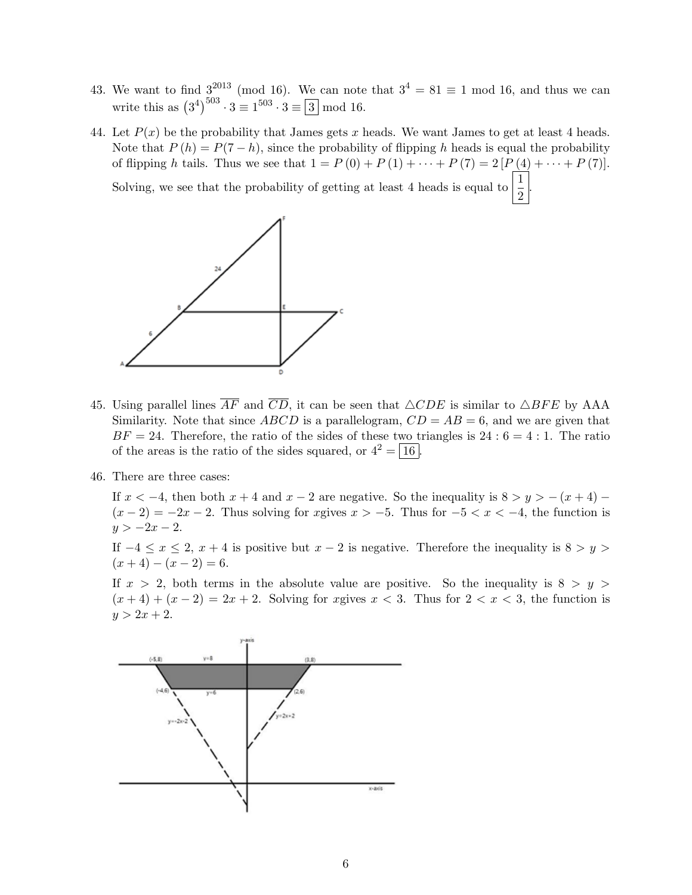- 43. We want to find  $3^{2013}$  (mod 16). We can note that  $3^4 = 81 \equiv 1 \mod 16$ , and thus we can write this as  $(3^4)^{503} \cdot 3 \equiv 1^{503} \cdot 3 \equiv 3 \mod 16$ .
- 44. Let  $P(x)$  be the probability that James gets x heads. We want James to get at least 4 heads. Note that  $P(h) = P(7-h)$ , since the probability of flipping h heads is equal the probability of flipping h tails. Thus we see that  $1 = P(0) + P(1) + \cdots + P(7) = 2[P(4) + \cdots + P(7)]$ . Solving, we see that the probability of getting at least 4 heads is equal to  $\frac{1}{2}$ .



- 45. Using parallel lines  $\overline{AF}$  and  $\overline{CD}$ , it can be seen that  $\triangle CDE$  is similar to  $\triangle BFE$  by AAA Similarity. Note that since  $ABCD$  is a parallelogram,  $CD = AB = 6$ , and we are given that  $BF = 24$ . Therefore, the ratio of the sides of these two triangles is  $24 : 6 = 4 : 1$ . The ratio of the areas is the ratio of the sides squared, or  $4^2 = |16|$ .
- 46. There are three cases:

If  $x < -4$ , then both  $x + 4$  and  $x - 2$  are negative. So the inequality is  $8 > y > -(x + 4)$  $(x-2) = -2x - 2$ . Thus solving for xgives  $x > -5$ . Thus for  $-5 < x < -4$ , the function is  $y > -2x - 2$ .

If  $-4 \le x \le 2$ ,  $x + 4$  is positive but  $x - 2$  is negative. Therefore the inequality is  $8 > y > 1$  $(x+4)-(x-2)=6.$ 

If  $x > 2$ , both terms in the absolute value are positive. So the inequality is  $8 > y > 1$  $(x+4)+(x-2)=2x+2$ . Solving for xgives  $x<3$ . Thus for  $2 < x < 3$ , the function is  $y > 2x + 2.$ 

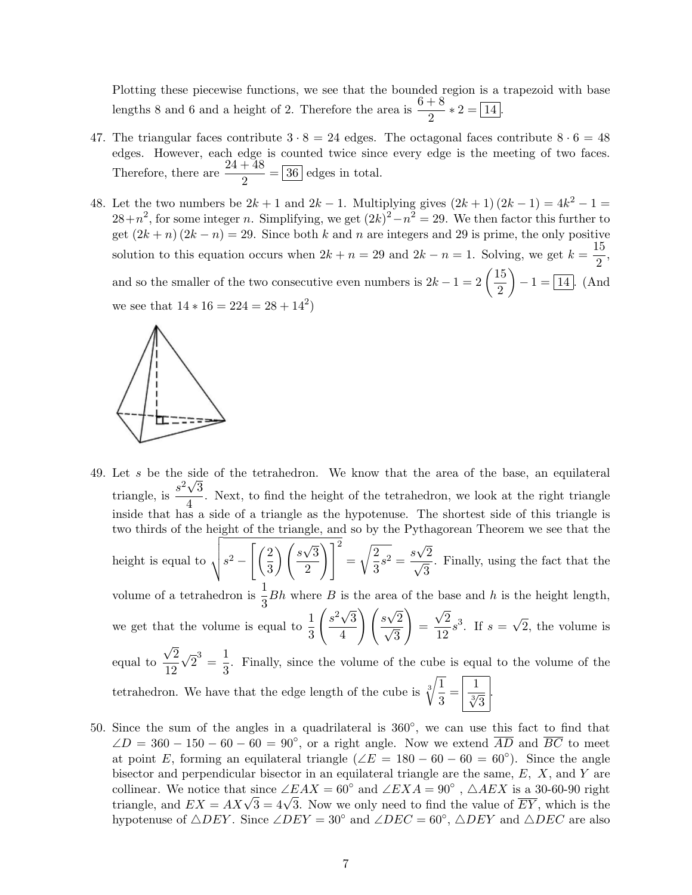Plotting these piecewise functions, we see that the bounded region is a trapezoid with base lengths 8 and 6 and a height of 2. Therefore the area is  $\frac{6+8}{2}*2 = 14$ .

- 47. The triangular faces contribute  $3 \cdot 8 = 24$  edges. The octagonal faces contribute  $8 \cdot 6 = 48$ edges. However, each edge is counted twice since every edge is the meeting of two faces. Therefore, there are  $\frac{24+48}{2} = 36$  edges in total.
- 48. Let the two numbers be  $2k + 1$  and  $2k 1$ . Multiplying gives  $(2k + 1)(2k 1) = 4k^2 1 =$  $28+n^2$ , for some integer n. Simplifying, we get  $(2k)^2 - n^2 = 29$ . We then factor this further to get  $(2k + n)(2k - n) = 29$ . Since both k and n are integers and 29 is prime, the only positive solution to this equation occurs when  $2k + n = 29$  and  $2k - n = 1$ . Solving, we get  $k = \frac{15}{2}$  $\frac{16}{2}$ and so the smaller of the two consecutive even numbers is  $2k - 1 = 2 \left( \frac{15}{2} \right)$ 2  $-1 = \boxed{14}$ . (And we see that  $14 * 16 = 224 = 28 + 14^2$



49. Let s be the side of the tetrahedron. We know that the area of the base, an equilateral triangle, is  $\frac{s^2\sqrt{3}}{4}$  $\frac{\sqrt{9}}{4}$ . Next, to find the height of the tetrahedron, we look at the right triangle inside that has a side of a triangle as the hypotenuse. The shortest side of this triangle is two thirds of the height of the triangle, and so by the Pythagorean Theorem we see that the height is equal to  $\sqrt{s^2 - \left(\frac{2}{3}\right)}$ 3  $\setminus$  / s √ 3 2  $\setminus$   $\mathcal{a}$ <sup>2</sup> =  $\sqrt{2}$  $\frac{2}{3}s^2 = \frac{s}{4}$ √  $rac{s\sqrt{2}}{\sqrt{2}}$ 3 . Finally, using the fact that the volume of a tetrahedron is  $\frac{1}{3} Bh$  where B is the area of the base and h is the height length, we get that the volume is equal to  $\frac{1}{3}$  $\int s^2 \sqrt{ }$ 3 4  $\bigg\backslash$  /s $\bigvee$  $rac{s\sqrt{2}}{\sqrt{2}}$ 3  $\setminus$ = √ 2  $\frac{\sqrt{2}}{12}s^3$ . If  $s =$ √ 2, the volume is equal to √ 2 12 √  $\overline{2}^3 = \frac{1}{2}$  $\frac{1}{3}$ . Finally, since the volume of the cube is equal to the volume of the

tetrahedron. We have that the edge length of the cube is  $\sqrt[3]{\frac{1}{2}}$  $rac{1}{3} = \frac{1}{\sqrt[3]{3}}$ .

50. Since the sum of the angles in a quadrilateral is  $360^\circ$ , we can use this fact to find that  $\angle D = 360 - 150 - 60 - 60 = 90^{\circ}$ , or a right angle. Now we extend  $\overline{AD}$  and  $\overline{BC}$  to meet at point E, forming an equilateral triangle  $(\angle E = 180 - 60 - 60 = 60^{\circ})$ . Since the angle bisector and perpendicular bisector in an equilateral triangle are the same,  $E$ ,  $X$ , and  $Y$  are collinear. We notice that since  $\angle EAX = 60^{\circ}$  and  $\angle EXA = 90^{\circ}$ ,  $\triangle AEX$  is a 30-60-90 right columear. We notice that since  $\angle EAX = 00$  and  $\angle EXA = 90$ ,  $\triangle AEA$  is a 30-00-90 right triangle, and  $EX = AX\sqrt{3} = 4\sqrt{3}$ . Now we only need to find the value of  $\overline{EY}$ , which is the hypotenuse of  $\triangle DEF$ . Since  $\angle DEF = 30^\circ$  and  $\angle DEC = 60^\circ$ ,  $\triangle DEF$  and  $\triangle DEC$  are also